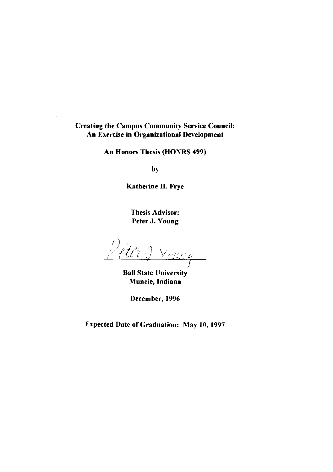#### Creating the Campus Community Service Council: An Exercise in Organizational Development

An Honors Thesis (HONRS 499)

by

Katherine H. Frye

Thesis Advisor: Peter J. Young

Peter 9 Voug

Ball State University Muncie, Indiana

December, 1996

Expected Date of Graduation: May 10, 1997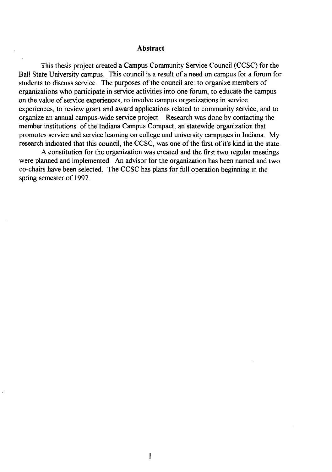#### **Abstract**

This thesis project created a Campus Community Service Council (CCSC) for the Ball State University campus. This council is a result of a need on campus for a forum for students to discuss service. The purposes of the council are: to organize members of organizations who participate in service activities into one forum, to educate the campus on the value of service experiences, to involve campus organizations in service experiences, to review grant and award applications related to community service, and to organize an annual campus-wide service project. Research was done by contacting the member institutions of the Indiana Campus Compact, an statewide organization that promotes service and service learning on college and university campuses in Indiana. My research indicated that this council, the CCSC, was one of the first of it's kind in the state.

A constitution for the organization was created and the first two regular meetings were planned and implemented. An advisor for the organization has been named and two co-chairs have been selected. The CCSC has plans for full operation beginning in the spring semester of 1997.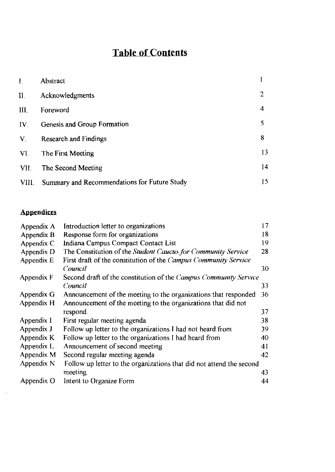# **Table of Contents**

| L.                   | Abstract                                     |                |
|----------------------|----------------------------------------------|----------------|
| $II$ .               | Acknowledgments                              | $\overline{2}$ |
| III.                 | Foreword                                     | 4              |
| $IV_{-}$             | Genesis and Group Formation                  | 5              |
| $\mathbf{V}_{\cdot}$ | <b>Research and Findings</b>                 | 8              |
|                      | VI The First Meeting                         | 13             |
| VII.                 | The Second Meeting                           | 14             |
| VIII.                | Summary and Recommendations for Future Study | 15             |

## **Appendices**

 $\mathcal{L}_{\mathcal{A}}$ 

 $\hat{\mathcal{A}}$ 

| Appendix A | Introduction letter to organizations                                 | 17 |
|------------|----------------------------------------------------------------------|----|
| Appendix B | Response form for organizations                                      | 18 |
| Appendix C | Indiana Campus Compact Contact List                                  | 19 |
| Appendix D | The Constitution of the Student Caucus for Community Service         | 28 |
| Appendix E | First draft of the constitution of the Campus Community Service      |    |
|            | Council                                                              | 30 |
| Appendix F | Second draft of the constitution of the Campus Community Service     |    |
|            | Council                                                              | 33 |
| Appendix G | Announcement of the meeting to the organizations that responded      | 36 |
| Appendix H | Announcement of the meeting to the organizations that did not        |    |
|            | respond.                                                             | 37 |
| Appendix I | First regular meeting agenda                                         | 38 |
| Appendix J | Follow up letter to the organizations I had not heard from           | 39 |
| Appendix K | Follow up letter to the organizations I had heard from               | 40 |
| Appendix L | Announcement of second meeting                                       | 41 |
| Appendix M | Second regular meeting agenda                                        | 42 |
| Appendix N | Follow up letter to the organizations that did not attend the second |    |
|            | meeting.                                                             | 43 |
| Appendix O | Intent to Organize Form                                              | 44 |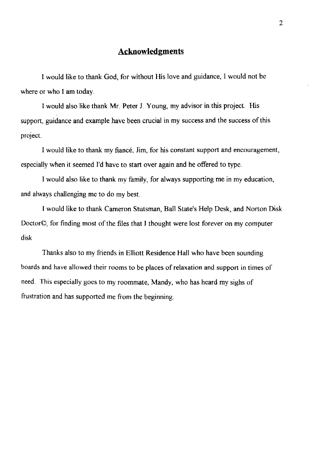#### **Acknowledgments**

I would like to thank God, for without His love and guidance, I would not be where or who I am today.

I would also like thank Mr. Peter J. Young, my advisor in this project. His support, guidance and example have been crucial in my success and the success of this project.

I would like to thank my fiance, Jim, for his constant support and encouragement, especially when it seemed I'd have to start over again and he offered to type.

I would also like to thank my family, for always supporting me in my education, and always challenging me to do my best.

I would like to thank Cameron Stutsman, Ball State's Help Desk, and Norton Disk Doctor©, for finding most of the files that I thought were lost forever on my computer disk.

Thanks also to my friends in Elliott Residence Hall who have been sounding boards and have allowed their rooms to be places of relaxation and support in times of need. This especially goes to my roommate, Mandy, who has heard my sighs of frustration and has supported me from the beginning.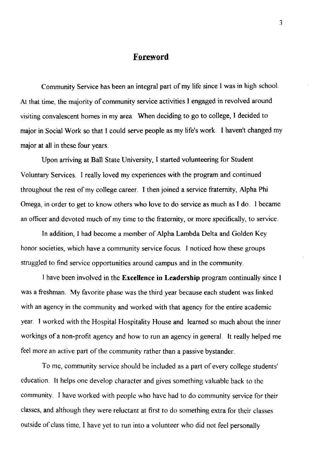#### **Foreword**

Community Service has been an integral part of my life since I was in high school. At that time, the majority of community service activities I engaged in revolved around visiting convalescent homes in my area. When deciding to go to college, I decided to major in Social Work so that I could serve people as my life's work. I haven't changed my major at all in these four years.

Upon arriving at Ball State University, I started volunteering for Student Voluntary Services. I really loved my experiences with the program and continued throughout the rest of my college career. I then joined a service fraternity, Alpha Phi Omega, in order to get to know others who love to do service as much as I do. I became an officer and devoted much of my time to the fraternity, or more specifically, to service.

**In** addition, I had become a member of Alpha Lambda Delta and Golden Key honor societies, which have a community service focus. I noticed how these groups struggled to find service opportunities around campus and in the community.

I have been involved in the **Excellence in Leadership** program continually since I was a freshman. My favorite phase was the third year because each student was linked with an agency in the community and worked with that agency for the entire academic year. I worked with the Hospital Hospitality House and learned so much about the inner workings of a non-profit agency and how to run an agency in general. It really helped me feel more an active part of the community rather than a passive bystander.

To me, community service should be included as a part of every college students' education. It helps onc develop character and gives something valuable back to the community. I have worked with people who have had to do community service for their classes, and although they were reluctant at first to do something extra for their classes outside of class time, I have yet to run into a volunteer who did not feel personally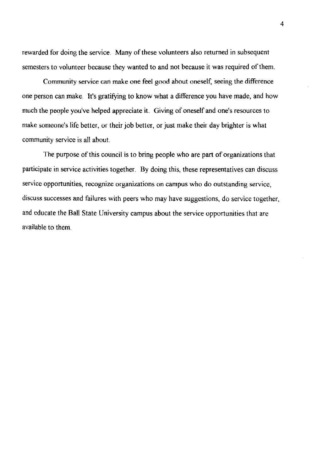rewarded for doing the service. Many of these volunteers also returned in subsequent semesters to volunteer because they wanted to and not because it was required of them.

Community service can make one feel good about oneself, seeing the difference one person can make. It's gratifying to know what a difference you have made, and how much the people you've helped appreciate it. Giving of oneself and one's resources to make someone's life better, or their job better, or just make their day brighter is what community service is all about.

The purpose of this council is to bring people who are part of organizations that participate in service activities together. By doing this, these representatives can discuss service opportunities, recognize organizations on campus who do outstanding service, discuss successes and failures with peers who may have suggestions, do service together, and educate the Ball State University campus about the service opportunities that are available to them.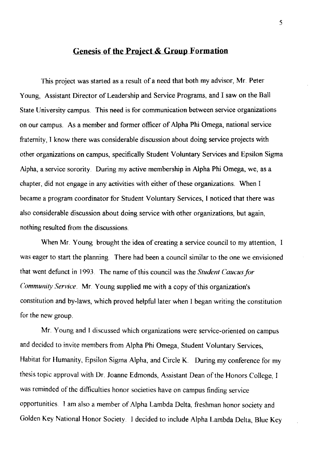#### **Genesis of the Project & Group Formation**

This project was started as a result of a need that both my advisor, Mr. Peter Young, Assistant Director of Leadership and Service Programs, and I saw on the Ball State University campus. This need is for communication between service organizations on our campus. As a member and former officer of Alpha Phi Omega, national service fraternity, I know there was considerable discussion about doing service projects with other organizations on campus, specifically Student Voluntary Services and Epsilon Sigma Alpha, a service sorority. During my active membership in Alpha Phi Omega, we, as a chapter, did not engage in any activities with either of these organizations. When I became a program coordinator for Student Voluntary Services, 1 noticed that there was also considerable discussion about doing service with other organizations, but again, nothing resulted from the discussions.

When Mr. Young brought the idea of creating a service council to my attention, I was eager to start the planning. There had been a council similar to the one we envisioned that went defunct in 1993. The name of this council was the *Student Caucus for Community Service.* Mr. Young supplied me with a copy of this organization's constitution and by-laws, which proved helpful later when I began writing the constitution for the new group.

Mr. Young and 1 discussed which organizations were service-oriented on campus and decided to invite members from Alpha Phi Omega, Student Voluntary Services, Habitat for Humanity, Epsilon Sigma Alpha, and Circle K. During my conference for my thesis topic approval with Dr. Joanne Edmonds, Assistant Dean of the Honors College, I was reminded of the difficulties honor societies have on campus finding service opportunities. I am also a member of Alpha Lambda Delta, freshman honor society and Golden Key National Honor Society. I decided to include Alpha Lambda Delta, Blue Key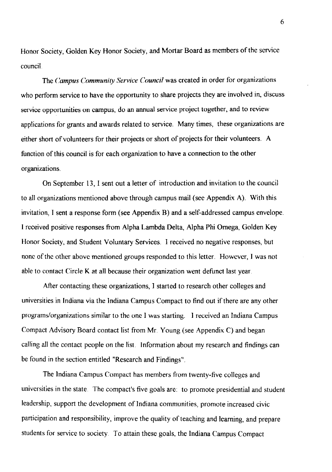Honor Society, Golden Key Honor Society, and Mortar Board as members of the service council

The *Campus Community Service Council* was created in order for organizations who perform service to have the opportunity to share projects they are involved in, discuss service opportunities on campus, do an annual service project together, and to review applications for grants and awards related to service. Many times, these organizations are either short of volunteers for their projects or short of projects for their volunteers. A function of this council is for each organization to have a connection to the other organizations.

On September 13, I sent out a letter of introduction and invitation to the council to all organizations mentioned above through campus mail (see Appendix A). With this invitation, I sent a response form (see Appendix B) and a self-addressed campus envelope. I received positive responses from Alpha Lambda Delta, Alpha Phi Omega, Golden Key Honor Society, and Student Voluntary Services. I received no negative responses, but none of the other above mentioned groups responded to this letter. However, I was not able to contact Circle K at all because their organization went defunct last year.

After contacting these organizations, I started to research other colleges and universities in Indiana via the Indiana Campus Compact to find out if there are any other programs/organizations similar to the one I was starting. I received an Indiana Campus Compact Advisory Board contact list from Mr. Young (see Appendix C) and began calling all the contact people on the list. Information about my research and findings can be found in the section entitled "Research and Findings".

The Indiana Campus Compact has members from twenty-five colleges and universities in the state. The compact's five goals are: to promote presidential and student leadership, support the development of Indiana communities, promote increased civic participation and responsibility, improve the quality of teaching and learning, and prepare students for service to society. To attain these goals, the Indiana Campus Compact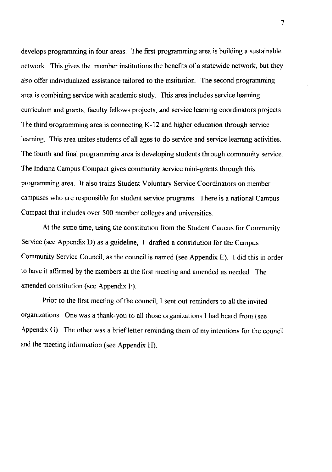develops programming in four areas. The first programming area is building a sustainable network. This gives the member institutions the benefits of a statewide network, but they also offer individualized assistance tailored to the institution. The second programming area is combining service with academic study. This area includes service learning curriculum and grants, faculty fellows projects, and service learning coordinators projects. The third programming area is connecting K-12 and higher education through service learning. This area unites students of all ages to do service and service learning activities. The fourth and final programming area is developing students through community service. The Indiana Campus Compact gives community service mini-grants through this programming area. It also trains Student Voluntary Service Coordinators on member campuses who are responsible for student service programs. There is a national Campus Compact that includes over 500 member colleges and universities.

At the same time, using the constitution from the Student Caucus for Community Service (see Appendix D) as a guideline, I drafted a constitution for the Campus Community Service Council, as the council is named (see Appendix E). I did this in order to have it affirmed by the members at the first meeting and amended as needed. The amended constitution (see Appendix F).

Prior to the first meeting of the council, I sent out reminders to all the invited organizations One was a thank-you to all those organizations I had heard from (see Appendix G). The other was a brief letter reminding them of my intentions for the council and the meeting information (see Appendix H).

7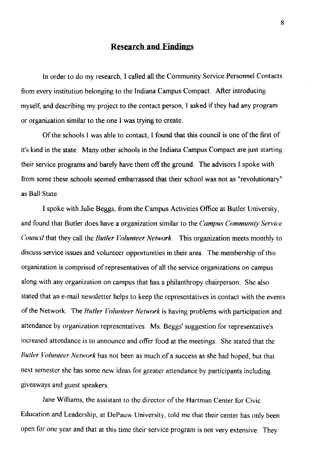#### **Research and Findings**

**In** order to do my research, I called all the Community Service Personnel Contacts from every institution belonging to the Indiana Campus Compact. After introducing myself, and describing my project to the contact person, I asked if they had any program or organization similar to the one I was trying to create.

Of the schools I was able to contact, I found that this council is one of the first of it's kind in the state. Many other schools in the Indiana Campus Compact are just starting their service programs and barely have them off the ground. The advisors I spoke with from some these schools seemed embarrassed that their school was not as "revolutionary" as Ball State.

I spoke with Julie Beggs, from the Campus Activities Office at Butler University, and found that Butler does have a organization similar to the *Campus Community Service Council* that they call the *Butler Volunteer Network* This organization meets monthly to discuss service issues and volunteer opportunities in their area. The membership of this organization is comprised of representatives of all the service organizations on campus along with any organization on campus that has a philanthropy chairperson. She also stated that an e-mail newsletter helps to keep the representatives in contact with the events of the Network. The *Rutler Volunleer Network* is having problems with participation and attendance by organization representatives. Ms. Beggs' suggestion for representative's increased attendance is to announce and offer food at the meetings. She stated that the *Rutler Volunteer Network* has not been as much of a success as she had hoped, but that next semester she has some new ideas for greater attendance by participants including giveaways and guest speakers.

Jane Williams, the assistant to the director of the Hartman Center for Civic Education and Leadership, at DePauw University, told me that their center has only been open for one year and that at this time their service program is not very extensive. They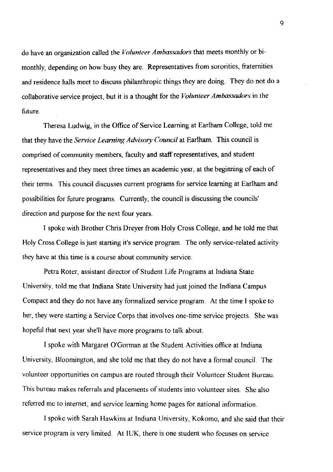do have an organization called the *Volunteer Ambassadors* that meets monthly or bimonthly, depending on how busy they are. Representatives from sororities, fraternities and residence halls meet to discuss philanthropic things they are doing. They do not do a collaborative service project, but it is a thought for the *Volunteer Ambassadors* in the future.

Theresa Ludwig, in the Office of Service Learning at Earlham College, told me that they have the *Service Learning Advisory Council* at Earlham. This council is comprised of community members, facuIty and staff representatives, and student representatives and they meet three times an academic year, at the beginning of each of their terms. This council discusses current programs for service learning at Earlham and possibilities for future programs. Currently, the council is discussing the councils' direction and purpose for the next four years.

I spoke with Brother Chris Dreyer from Holy Cross College, and he told me that Holy Cross College is just starting it's service program. The only service-related activity they have at this time is a course about community service.

Petra Roter, assistant director of Student Life Programs at Indiana State University, told me that Indiana State University had just joined the Indiana Campus Compact and they do not have any formalized service program. At the time I spoke to her, they were starting a Service Corps that involves one-time service projects. She was hopeful that next year she'll have more programs to talk about.

I spoke with Margaret O'Gorman at the Student Activities office at Indiana University, Bloomington, and she told me that they do not have a formal council. The volunteer opportunities on campus are routed through their Volunteer Student Bureau. This bureau makes referrals and placements of students into volunteer sites. She also referred me to internet, and service learning home pages for national information.

I spoke with Sarah Hawkins at Indiana University, Kokomo, and she said that their service program is very limited. At IUK, there is one student who focuses on service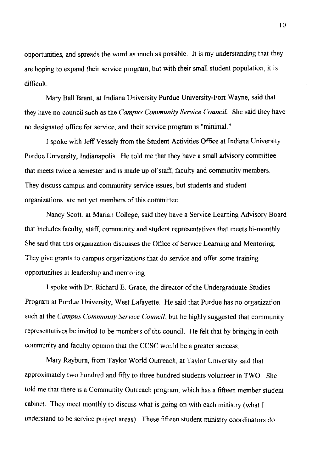opportunities, and spreads the word as much as possible. It is my understanding that they are hoping to expand their service program, but with their small student population, it is difficult.

Mary Ball Brant, at Indiana University Purdue University-Fort Wayne, said that they have no council such as the *Campus Community Service Council.* She said they have no designated office for service, and their service program is "minimal."

I spoke with JeffVessely from the Student Activities Office at Indiana University Purdue University, Indianapolis. He told me that they have a small advisory committee that meets twice a semester and is made up of staff, faculty and community members. They discuss campus and community service issues, but students and student organizations are not yet members of this committee.

Nancy Scott, at Marian College, said they have a Service Learning Advisory Board that includes faculty, staff, community and student representatives that meets bi-monthly. She said that this organization discusses the Office of Service Learning and Mentoring. They give grants to campus organizations that do service and offer some training opportunities in leadership and mentoring.

I spoke with Dr. Richard E. Grace, the director of the Undergraduate Studies Program at Purdue University, West Lafayette. He said that Purdue has no organization such at the *Campus Community Service Council,* but he highly suggested that community representatives be invited to be members of the council. He felt that by bringing in both community and faculty opinion that the CCSC would be a greater success.

Mary Rayburn, from Taylor World Outreach, at Taylor University said that approximately two hundred and fifty to three hundred students volunteer in TWO. She told me that there is a Community Outreach program, which has a fifteen member student cabinet. They meet monthly to discuss what is going on with each ministry (what I understand to be service project areas). These fifteen student ministry coordinators do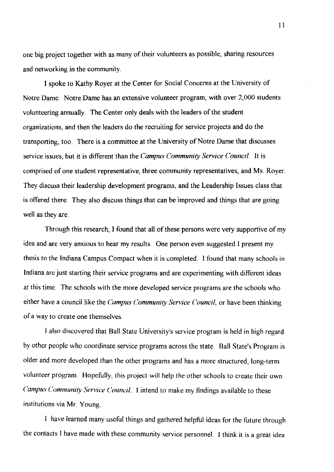one big project together with as many of their volunteers as possible, sharing resources and networking in the community.

I spoke to Kathy Royer at the Center for Social Concerns at the University of Notre Dame. Notre Dame has an extensive volunteer program, with over 2,000 students volunteering annually. The Center only deals with the leaders of the student organizations, and then the leaders do the recruiting for service projects and do the transporting, too. There is a committee at the University of Notre Dame that discusses service issues, but it is different than the *Campus Community Service Council.* It is comprised of one student representative, three community representatives, and Ms. Royer. They discuss their leadership development programs, and the Leadership Issues class that is offered there. They also discuss things that can be improved and things that are going well as they are.

Through this research, I found that all of these persons were very supportive of my idea and are very anxious to hear my results. One person even suggested I present my thesis to the Indiana Campus Compact when it is completed. I found that many schools in Indiana are just starting their service programs and are experimenting with different ideas at this time. The schools with the more developed service programs are the schools who either have a council like the *Campus Community Service Council,* or have been thinking of a way to create one themselves.

I also discovered that Ball State University's service program is held in high regard by other people who coordinate service programs across the state. Ball State's Program is older and more developed than the other programs and has a more structured, long-term volunteer program. Hopefully, this project will help the other schools to create their own *Campus Community Service Council.* I intend to make my findings available to these institutions via Mr. Young.

I have learned many useful things and gathered helpful ideas for the future through the contacts I have made with these community service personnel I think it is a great idea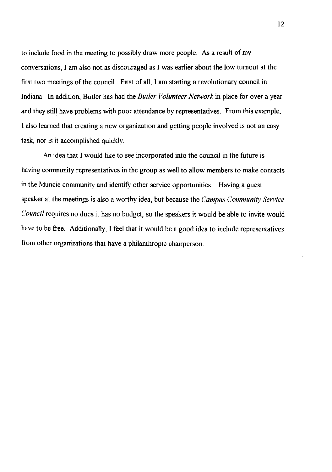to include food in the meeting to possibly draw more people. As a result of my conversations, I am also not as discouraged as I was earlier about the low turnout at the first two meetings of the council. First of all, I am starting a revolutionary council in Indiana. In addition, Butler has had the *Butler Volunteer Network* in place for over a year and they still have problems with poor attendance by representatives. From this example, I also learned that creating a new organization and getting people involved is not an easy task, nor is it accomplished quickly.

An idea that I would like to see incorporated into the council in the future is having community representatives in the group as well to allow members to make contacts in the Muncie community and identify other service opportunities. Having a guest speaker at the meetings is also a worthy idea, but because the *Campus Community Service Council* requires no dues it has no budget, so the speakers it would be able to invite would have to be free. Additionally, I feel that it would be a good idea to include representatives from other organizations that have a philanthropic chairperson.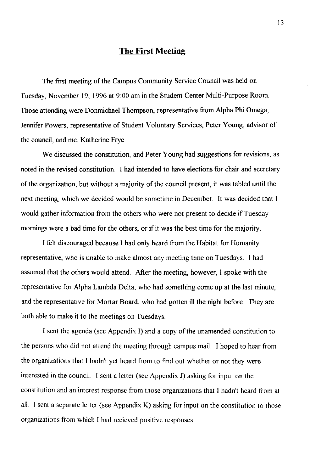#### **The First Meeting**

The first meeting of the Campus Community Service Council was held on Tuesday, November 19, 1996 at 9:00 am in the Student Center Multi-Purpose Room. Those attending were Donmichael Thompson, representative from Alpha Phi Omega, Jennifer Powers, representative of Student Voluntary Services, Peter Young, advisor of the council, and me, Katherine Frye.

We discussed the constitution, and Peter Young had suggestions for revisions, as noted in the revised constitution. I had intended to have elections for chair and secretary of the organization, but without a majority of the council present, it was tabled until the next meeting, which we decided would be sometime in December. It was decided that I would gather information from the others who were not present to decide if Tuesday mornings were a bad time for the others, or if it was the best time for the majority.

I felt discouraged because I had only heard from the Habitat for Humanity representative, who is unable to make almost any meeting time on Tuesdays. I had assumed that the others would attend. After the meeting, however, I spoke with the representative for Alpha Lambda Delta, who had something come up at the last minute, and the representative for Mortar Board, who had gotten ill the night before They are both able to make it to the meetings on Tuesdays.

I sent the agenda (see Appendix I) and a copy of the unamended constitution to the persons who did not attend the meeting through campus mail. I hoped to hear from the organizations that I hadn't yet heard from to find out whether or not they were interested in the council. I sent a letter (see Appendix J) asking for input on the constitution and an interest response from those organizations that I hadn't heard from at all. I sent a separate letter (see Appendix K) asking for input on the constitution to those organizations from which I had recieved positive responses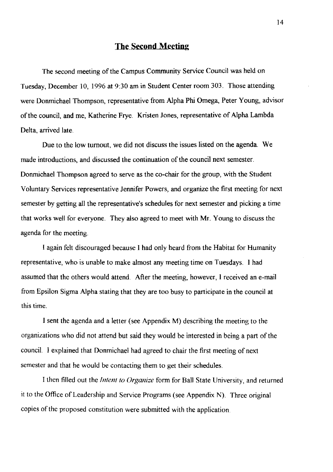#### **The Second Meeting**

The second meeting of the Campus Community Service Council was held on Tuesday, December 10,1996 at 9:30 am in Student Center room 303. Those attending were Donmichael Thompson, representative from Alpha Phi Omega, Peter Young, advisor of the council, and me, Katherine Frye. Kristen Jones, representative of Alpha Lambda Delta, arrived late.

Due to the low turnout, we did not discuss the issues listed on the agenda. We made introductions, and discussed the continuation of the council next semester. Donmichael Thompson agreed to serve as the co-chair for the group, with the Student Voluntary Services representative Jennifer Powers, and organize the first meeting for next semester by getting all the representative's schedules for next semester and picking a time that works well for everyone. They also agreed to meet with Mr. Young to discuss the agenda for the meeting.

I again felt discouraged because I had only heard from the Habitat for Humanity representative, who is unable to make almost any meeting time on Tuesdays. I had assumed that the others would attend. After the meeting, however, I received an e-mail from Epsilon Sigma Alpha stating that they are too busy to participate in the council at this time.

I sent the agenda and a letter (see Appendix M) describing the meeting to the organizations who did not attend but said they would be interested in being a part of the council. I explained that Donmichael had agreed to chair the first meeting of next semester and that he would be contacting them to get their schedules.

I then filled out the *Intent to Organize* form for Ball State University, and returned it to the Office of Leadership and Service Programs (see Appendix N). Three original copies of the proposed constitution were submitted with the application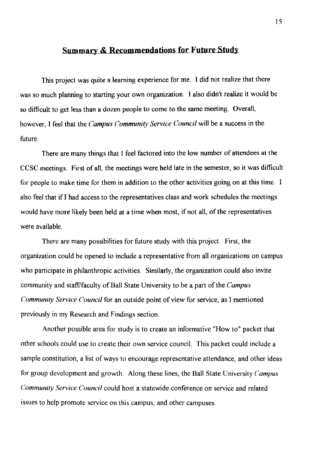#### **Summary & Recommendations for Future Study**

This project was quite a learning experience for me. I did not realize that there was so much planning to starting your own organization. I also didn't realize it would be so difficult to get less than a dozen people to come to the same meeting. Overall, however, I feel that the *Campus Community Service Council* will be a success in the future.

There are many things that I feel factored into the low number of attendees at the CCSC meetings. First of all, the meetings were held late in the semester, so it was difficult for people to make time for them in addition to the other activities going on at this time. I also feel that if I had access to the representatives class and work schedules the meetings would have more likely been held at a time when most, if not all, of the representatives were available.

There are many possibilities for future study with this project. First, the organization could be opened to include a representative from all organizations on campus who participate in philanthropic activities. Similarly, the organization could also invite community and staff/faculty of Ball State University to be a part of the *Campus Community Service Council* for an outside point of view for service, as I mentioned previously in my Research and Findings section.

Another possible area for study is to create an informative "How to" packet that other schools could use to create their own service council. This packet could include a sample constitution, a list of ways to encourage representative attendance, and other ideas for group development and growth. Along these lines, the Ball State University *Campus Community Service Council* could host a statewide conference on service and related issues to help promote service on this campus, and other campuses.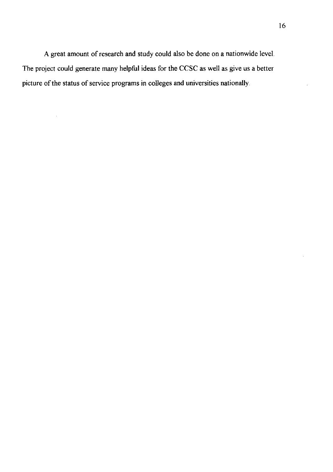A great amount of research and study could also be done on a nationwide level. The project could generate many **helpful** ideas for the CCSC as well as give us a better picture of the status of service programs in colleges and universities nationally.

 $\overline{a}$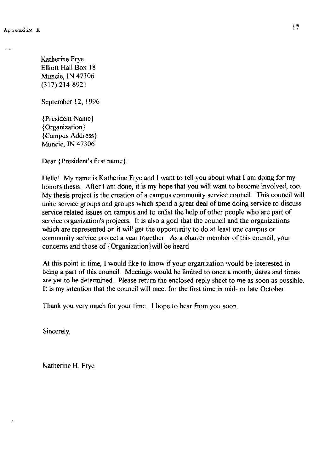Katherine Frye Elliott Hall Box 18 Muncie, IN 47306 (317) 214-8921

September 12, 1996

{President Name) {Organization) {Campus Address) Muncie, IN 47306

Dear {President's first name}:

Hello! My name is Katherine Frye and I want to tell you about what I am doing for my honors thesis. After I am done, it is my hope that you will want to become involved, too. My thesis project is the creation of a campus community service council. This council will unite service groups and groups which spend a great deal of time doing service to discuss service related issues on campus and to enlist the help of other people who are part of service organization's projects. It is also a goal that the council and the organizations which are represented on it will get the opportunity to do at least one campus or community service project a year together. As a charter member of this council, your concerns and those of {Organization) will be heard

At this point in time, I would like to know if your organization would be interested in being a part of this council. Meetings would be limited to once a month; dates and times are yet to be determined. Please return the enclosed reply sheet to me as soon as possible. It is my intention that the council will meet for the first time in mid- or late October.

Thank you very much for your time. I hope to hear from you soon.

Sincerely,

Katherine H. Frye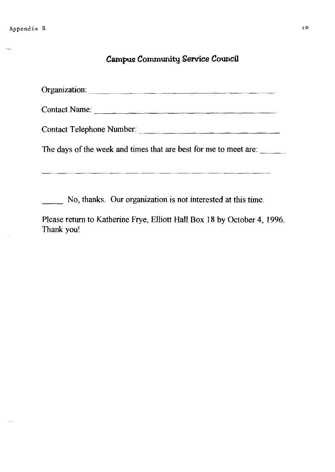$\langle s_{\rm obs} \rangle$ 

 $\sim$  see .

# Campus Community Service Council

| Organization:                                                                          |  |  |  |
|----------------------------------------------------------------------------------------|--|--|--|
| Contact Name:                                                                          |  |  |  |
| Contact Telephone Number:                                                              |  |  |  |
| The days of the week and times that are best for me to meet are:                       |  |  |  |
| No, thanks. Our organization is not interested at this time.                           |  |  |  |
| Please return to Katherine Frye, Elliott Hall Box 18 by October 4, 1996.<br>Thank you! |  |  |  |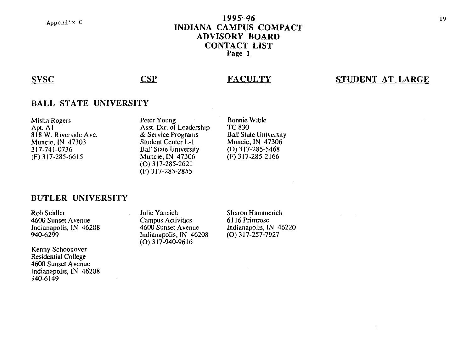#### 1995-96 **INDIANA CAMPUS COMPACT ADVISORY BOARD CONTACT LIST Page 1**

SVSC CSP

#### **FACULTY**

## **STUDENT AT LARGE**

#### **BALL STATE UNIVERSITY**

| Misha Rogers          | Peter Young                  | Bonnie Wible                 |
|-----------------------|------------------------------|------------------------------|
| Apt. A l              | Asst. Dir. of Leadership     | <b>TC 830</b>                |
| 818 W. Riverside Ave. | & Service Programs           | <b>Ball State University</b> |
| Muncie, IN 47303      | Student Center L-1           | Muncie, IN 47306             |
| 317-741-0736          | <b>Ball State University</b> | $(O)$ 317-285-5468           |
| (F) 317-285-6615      | Muncie, IN 47306             | $(F)$ 317-285-2166           |
|                       | $(0)$ 317-285-2621           |                              |
|                       | $(F)$ 317-285-2855           |                              |

#### **BUTLER UNIVERSITY**

Rob Seidler 4600 Sunset A venue Indianapolis, IN 46208 940-6299

Kenny Schoonover Residential College 4600 Sunset A venue Indianapolis, IN 46208 940-6149

Julie Yancich Campus Activities 4600 Sunset A venue Indianapolis, IN 46208  $(0)$  317-940-9616

Sharon Hammerich 6116 Primrose Indianapolis, IN 46220 (0) 317-257-7927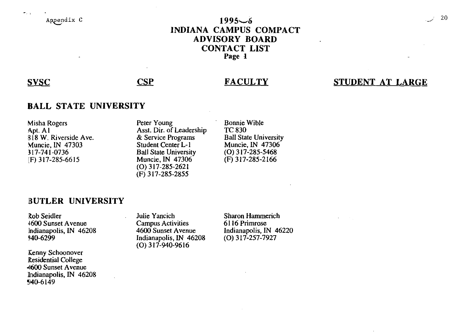Appendix C

## $1995 - 6$ INDIANA CAMPUS COMPACT ADVISORY BOARD CONTACT LIST Page I

## SVSC CSP

 $\bullet$  . .

#### **FACULTY**

#### STUDENT AT LARGE

#### BALL STATE UNIVERSITY

| <b>Misha Rogers</b>   |  |
|-----------------------|--|
| Apt. A1               |  |
| 818 W. Riverside Ave. |  |
| Muncie, IN 47303      |  |
| 317-741-0736          |  |
| (F) 317-285-6615      |  |

Peter Young Asst. Dir. of Leadership & Service Programs Student Center L-I Ball State University Muncie, IN 47306 (0) 317-285-2621 (F) 317-285-2855

Bonnie Wible TC830 Ball State University Muncie, IN 47306 (0) 317-285-5468 (F) 317-285-2166

#### BUTLER UNIVERSITY

Rob Seidler 4600 Sunset Avenue Indianapolis, IN 46208 940-6299

Kenny Schoonover Residential College -1600 Sunset A venue lndianapolis, IN 46208 ~40-6149

Julie Yancich Campus Activities 4600 Sunset A venue Indianapolis, IN 46208 (0) 317-940-9616

Sharon Hammerich 6116 Primrose Indianapolis, IN 46220 (0) 317-257-7927

*. .J. 20*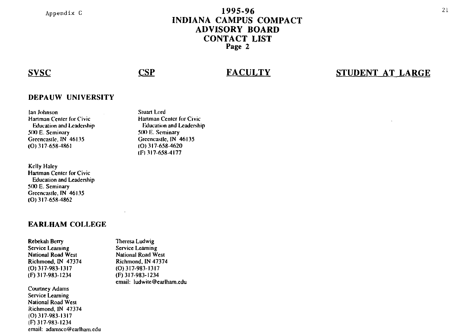#### **1995·96 INDIANA CAMPUS COMPACT ADVISORY BOARD CONTACT LIST Page 2**

#### **SVSC**

## **CSP**

### **FACULTY**

#### **STUDENT AT LARGE**

#### **DEPAUW UNIVERSITY**

Ian Johnson **Hartman Center for Civic Education and Leadership** SIX) E. Seminary Greeneaslle. IN 46135 (0) 317-658-4861

Kelly Haley **Hartman Center for Civic** Educalion and Leadership 500 E. Seminary Greeneaslle. IN 46135 (0) 317-658-4862

#### **EARLHAM COLLEGE**

email: adamsco@earlham.edu

Rebekah Berry Service Learning **National Road West** Richmond. IN 47374 (0) 317-983-1317 (F) 317-983-1234

Courtney Adams **Service Learning**  Nalional Road WeSI Richmond. **IN** 47374 (0) 317-983-1317 (F) 317-983-1234

Theresa Ludwig **Service Learning**  National Road West Richmond. IN 47374 (0)317-983-1317 (F) 317-983-1234 email: ludwile@earlham\_edu

Stuart Lord **Hartman Center for Civic Education and Leadership** 51X) E. Seminary Greeneaslle. IN 46135 (0) 317-658-4620 (I') 117-658-4177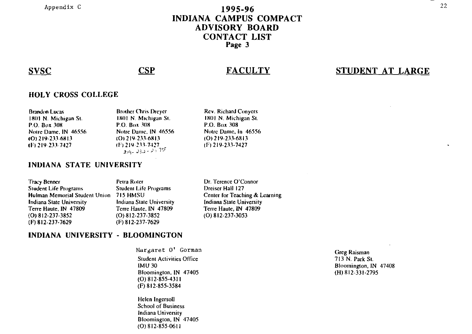Appendix C

#### 1995-96 **INDIANA CAMPUS COMPACT ADVISORY BOARD CONTACT LIST** Page 3

#### **SVSC**

#### **CSP**

#### **FACULTY**

## STUDENT AT LARGE

#### **HOLY CROSS COLLEGE**

**Brandon Lucas** 1801 N. Michigan St. P.O. Box 308 Notre Dame, IN 46556  $(O)$  219-233-6813 (F) 219-233-7427

**Brother Chris Drever** 1801 N. Michigan St. P.O. Box 308 Notre Dame, IN 46556 (O) 219-233-6813 (F) 219-233-7427  $219 - 232 - 327$ 

**Rev. Richard Conyers** 1801 N. Michigan St. P.O. Box 308 Notre Dame, In 46556  $(O)$  219-233-6813  $(F)$  219-233-7427

#### INDIANA STATE UNIVERSITY

**Tracy Benner Student Life Programs** Hulman Memorial Student Union 715 HMSU **Indiana State University** Terre Haute, IN 47809 (O) 812-237-3852 (F) 812-237-7629

Petra Roter **Student Life Programs** Indiana State University Terre Haute, IN 47809  $(O) 812 - 237 - 3852$ (F) 812-237-7629

Dr. Terence O'Connor Dreiser Hall 127 Center for Teaching & Learning Indiana State University Terre Haute, IN 47809 (O) 812-237-3053

#### INDIANA UNIVERSITY - BLOOMINGTON

Margaret O' Gorman **Student Activities Office IMU 30** Bloomington, IN 47405  $(0)$  812-855-4311 (F) 812-855-3584

Helen Ingersoll **School of Business** Indiana University Bloomington, IN 47405  $(0)$  812-855-0611

**Greg Raisman** 713 N. Park St. Bloomington, IN 47408  $(H)$  812-331-2795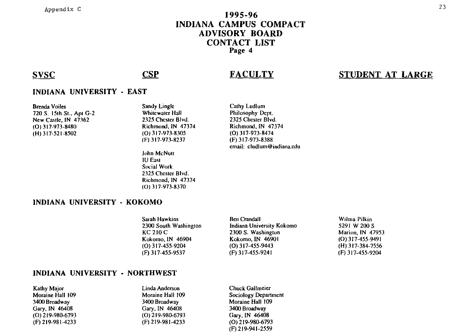#### **1995-96 INDIANA CAMPUS COMPACT ADVISORY BOARD CONTACT LIST Page 4**

#### SVSC CSP

## **FACULTY**

#### **STUDENT AT LARGE**

#### **INDIANA UNIVERSITY - EAST**

Brenda Voiles 720 S. 151h SI.. Api G-2 New Caslle. IN 47362 (0) 317-973-8480 (H) 317-521-8502

Sandy Lingle Whitewater Hall 2325 Chester Blvd. Richmond. IN 47374 (01317-973-8305 (F) 317-973-8237

John McNulI IU Easl Social Work 2325 Chester Blvd. Richmond. IN 47374 (0) 317-973-8370

Cathy Ludlum Philosophy Depl. 2325 Chesler Blvd. Richmond. IN 47374 (0) 317-973-8474 (F) 317-973-8388 email: c1udlum@indiana.edu

#### **INDIANA UNIVERSITY - KOKOMO**

| Sarah Hawkins         | <b>Ben Crandall</b>       | Wilma Pilkin       |
|-----------------------|---------------------------|--------------------|
| 2300 South Washington | Indiana University Kokomo | 5291 W 200 S       |
| <b>KC 210 C</b>       | 2300 S. Washington        | Marion, IN 47953   |
| Kokomo, IN 46904      | Kokomo, IN 46901          | $(O)$ 317-455-9491 |
| $(O)$ 317-455-9204    | $(O)$ 317-455-9443        | $(H)$ 317-384-7556 |
| (F) 317-455-9537      | $(F)$ 317-455-9241        | $(F)$ 317-455-9204 |

#### **INDIANA UNIVERSITY - NORTHWEST**

**Kathy Major** Moraine Hall 109 3400 Broadway Gary. IN 46408 (0) 219-980-6793 (F) 219-981-4233

Linda Anderson Moraine Hall 109 3400 Broadway Gary. IN 46408 (0) 219-980-6793 (F) 219-981-4233

Chuck Gallmeier Sociology Department Moraine Hall 109 3400 Broadway Gary. IN 46408 (0) 219-980-6793 (F) 219-941-2559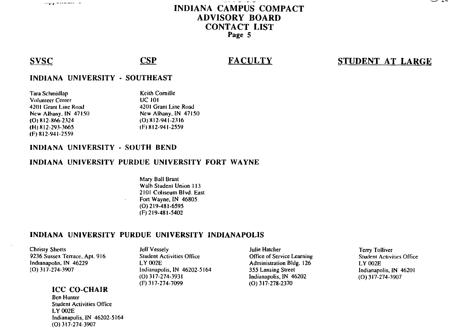

#### **INDIANA CAMPUS COMPACT ADVISORY BOARD CONTACT LIST** Page 5

#### **SVSC**

## **CSP**

#### **FACULTY**

### STUDENT AT LARGE

#### **INDIANA UNIVERSITY - SOUTHEAST**

| Tara Schmidlap          | <b>Keith Comille</b> |
|-------------------------|----------------------|
| <b>Volunteer Center</b> | <b>UC 101</b>        |
| 4201 Grant Line Road    | 4201 Grant Line Road |
| New Albany, IN 47150    | New Albany, IN 47150 |
| $(O)$ 812-866-2324      | $(O)$ 812-941-2316   |
| $(H)$ 812-293-3665      | $(F)$ 812-941-2559   |
| (F) 812-941-2559        |                      |

#### INDIANA UNIVERSITY - SOUTH BEND

#### INDIANA UNIVERSITY PURDUE UNIVERSITY FORT WAYNE

Mary Ball Brant Walb Student Union 113 2101 Coliseum Blvd. East Fort Wayne, IN 46805  $(0)$  219-481-6595 (F) 219-481-5402

#### INDIANA UNIVERSITY PURDUE UNIVERSITY INDIANAPOLIS

**Christy Sheets** 9236 Sussex Terrace, Apt. 916 Indianapolis, IN 46229 (O) 317-274-3907

#### ICC CO-CHAIR

**Ben Hunter Student Activities Office** LY 002E Indianapolis, IN 46202-5164 (O) 317-274-3907

Jeff Vessely **Student Activities Office** LY 002E Indianapolis, IN 46202-5164  $(O)$  317-274-3931 (F) 317-274-7099

Julie Hatcher Office of Service Learning Administration Bldg. 126 355 Lansing Street Indianapolis, IN 46202 (O) 317-278-2370

**Terry Tolliver Student Activities Office** LY 002E Indianapolis, IN 46201  $(O)$  317-274-3907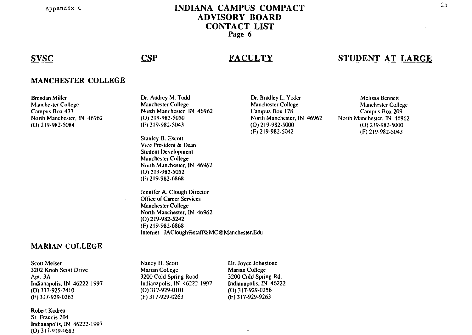Appendix C

#### **INDIANA CAMPUS COMPACT ADVISORY BOARD CONTACT LIST** Page 6

#### **SVSC**

#### **CSP**

 $\mathbf{r}$ 

#### **FACULTY**

## STUDENT AT LARGE

#### **MANCHESTER COLLEGE**

**Brendan Miller Manchester College** Campus Box 477 North Manchester, IN 46962 (O) 219-982-5084

Dr. Audrey M. Todd **Manchester College** North Manchester, IN 46962 (Q) 219-982-5050  $(F)$  219-982-5043

**Stanley B. Escott** Vice President & Dean **Student Development Manchester College** North Manchester, IN 46962 (0) 219-982-5052 (F) 219-982-6868

Jennifer A. Clough Director **Office of Career Services** Manchester College North Manchester, IN 46962 (O) 219-982-5242 (F) 219-982-6868 Internet: JAClough%staff%MC@Manchester.Edu

Dr. Bradley L. Yoder **Manchester College** Campus Box 178 North Manchester, IN 46962 (O) 219-982-5000  $(F)$  219-982-5042

Melissa Bennett **Manchester College** Campus Box 209 North Manchester, IN 46962  $(O)$  219-982-5000 (F) 219-982-5043

#### **MARIAN COLLEGE**

**Scott Meiser** 3202 Knob Scott Drive Apt. 3A Indianapolis, IN 46222-1997  $(0)$  317-925-7410 (F) 317-929-0263

Robert Kodrea St. Francis 204 Indianapolis, IN 46222-1997 (0) 317-929-0683

Nancy H. Scott **Marian College** 3200 Cold Spring Road Indianapolis, IN 46222-1997  $(0)$  317-929-0101 (F) 317-929-0263

Dr. Joyce Johnstone Marian College 3200 Cold Spring Rd. Indianapolis, IN 46222  $(0)$  317-929-0256 (F) 317-929-9263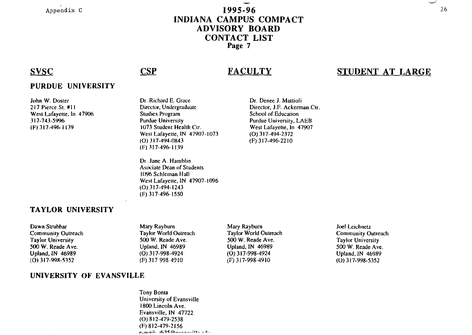Appendix C

#### 1995-96 INDIANA CAMPUS COMPACT ADVISORY BOARD CONTACT LIST Page 7

#### SVSC

#### PURDUE UNIVERSITY

John W. Dosler 217 Pierce SI. #11 West Lafayette, In 47906 317-743-5996 (F) 317-496-1 139

Dr. Richard E. Grace Director. Undergraduate Studies Program Purdue Universily 1073 Student Health Ctr. West Lafayette, IN 47907-1073 (0) 317-494·0843 (F) 317·496-1139

CSP

Dr. Jane A. Hamhlin Asociate Dean of Students 1096 Schleman Hali West Lafayette, IN 47907-1096 (0) 317-494-1243 (F) 317·496-1550

Dr. Denee J. Mattioli Director. J.F. Ackerman Ctr. School of Education Purdue University, LAEB West Lafayette, In 47907 (0) 317-494-2372 (F) 317-496-2210

#### TAYLOR UNIVERSITY

UNIVERSITY OF EVANSVILLE

#### Dawn Strubhar **Community Outreach** Taylor Universily 500 W. Reade Ave. Upland. IN 46989 (0) 317-99&-5352

Mary Rayburn Taylor World Outreach 500 W. Reade *Ave.*  Upland. IN 46989 (0) 317-998-4924 (F) 3!7 998-4910

Mary Rayburn Taylor World Outreach 500 W. Reade Ave. Upland, IN 46989 (0) 317-998-4924 (F) 317-998-4910

Joel Leichnelz Community Outreach Taylor University 500 W. Reade Ave. Upland, IN 46989 (0) 317-998-5352

#### **Tony Bonta** University of Evansville 1800 Lincoln Ave. Evansvilie. IN 47722 (0) 812-479-2538 (F) 812-479-2156  $1 \cdot 1 \cdot 1$   $1 \cdot 1 \cdot 1$

#### 26

-..../

## **FACULTY**

#### STUDENT AT LARGE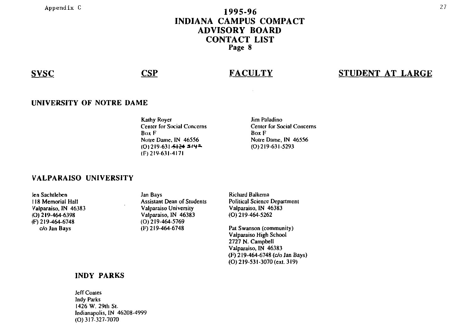## Appendix C  $1995-96$ INDIANA CAMPUS COMPACT ADVISORY BOARD CONTACT LIST Page 8

#### SVSC CSP

## **FACULTY**

## STUDENT AT LARGE

#### UNIVERSITY OF NOTRE DAME

Kalhy Royer Center for Social Concerns Box F Notre Dame. IN 46556  $(0)$ 219-631-5124 5144 (1')219-631-4171

Jim Paladino Cenler for Social Concerns Box F Notre Dame. IN 46556 (0) 219-631-5293

#### VALPARAISO UNIVERSITY

len Sachtleben 118 Memorial Hall Valparaiso. IN 46383 (0) 219-464-6398 (F) 219-464-6748 *clo* Jan Bays

Jan Bays **Assistant Dean of Students** Valparaiso Universily Valparaiso. IN 46383 (0) 219-464-5769 (F) 219-464-6748

Richard Balkema Political Science Departmenl Valparaiso. IN 46383 (0) 219-464-5262

Pat Swanson (community) Valparaiso High School 2727 N. Campbell Valparaiso. IN 46383 (F) 219-464-6748 *(c/o* Jan Bays) (0) 219-531-3070 (exl. 319)

#### INDY PARKS

JeffCoates Indy Parks 1426 W. 291h SI. Indianapolis. IN 46208-4999 (0) 317-327-7070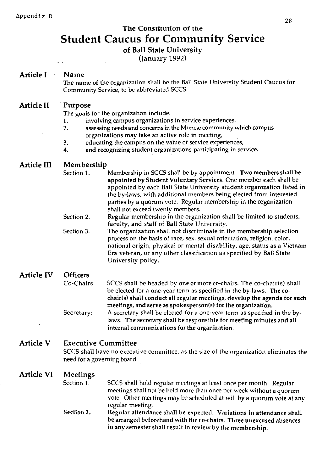# The Constitution of the Student Caucus for Community Service

of Ball State University

(January 1992)

## Article I Name

The name of the organization shall be the Ball State University Student Caucus for Community Service, to be abbreviated SCCS.

#### Article II Purpose

The goals for the organization include:

- 1. involving campus organizations in service experiences,
- 2. assessing needs and concerns in the Muncie community which-campus organizations may take an active role in meeting,
- 3. educating the campus on the value of service experiences,
- 4. and recognizing student organizations participating in service.

#### Article III Membership

- Section 1. Membership in SCCS shall be by appointment. Two members shall be appointed by Student Voluntary Services. One member each shall be appointed by each Ball State University student organization listed in the by-laws, with additional members being elected from interested parties by a quorum vote. Regular membership in the organization shall not exceed twenty members.
- Section 2. Regular membership in the organization shall be limited to students, faculty, and staff of Ball State University.
- Section 3. The organization shall not discriminate in the membership.selection process on the basis of race, sex, sexual orientation, religion, color, national origin, physical or mental disability, age, status as a Vietnam Era veteran, or any other classification as specified by Ball State University policy.

#### Article IV **Officers** Co-Chairs: Secretary: SCCS shall be headed by one or more co-chairs. The co-chair(s) shall be elected for a one-year term as specified in the by-laws. The cochair(s) shall conduct all regular meetings, develop the agenda for such meetings, and serve as spokesperson(s) for the organization. A secretary shall be elected for a one-year term as specified in the bylaws. The secretary shall be responsible for meeting minutes and all internal communications for the organization.

#### Article V Executive Committee

SCCS shall have no executive committee, as the size of the organization eliminates the need for a governing board.

#### Article VI Meetings

- Section 1. SCCS shall hold regular meetings at least once per month. Regular meetings shall not be held more than once per week without a quorum vote. Other meetings may be scheduled at will by a quorum vote at any regular meeting.
- Section 2.. Regular attendance shall be expected. Variations in attendance shall be arranged beforehand with the co-chairs. Three unexcused absences in any semester shall result in review by the membership.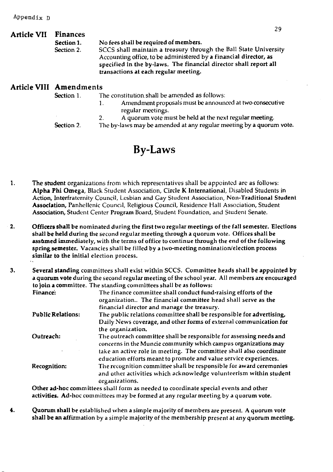| <b>Article VII</b> | <b>Finances</b>         |                                                                                                                                                                                                                                                     |  |
|--------------------|-------------------------|-----------------------------------------------------------------------------------------------------------------------------------------------------------------------------------------------------------------------------------------------------|--|
|                    | Section 1.              | No fees shall be required of members.                                                                                                                                                                                                               |  |
|                    | Section 2.              | SCCS shall maintain a treasury through the Ball State University<br>Accounting office, to be administered by a financial director, as<br>specified in the by-laws. The financial director shall report all<br>transactions at each regular meeting. |  |
|                    | Article VIII Amendments |                                                                                                                                                                                                                                                     |  |
|                    | Section 1.              | The constitution shall be amended as follows:                                                                                                                                                                                                       |  |
|                    |                         | Amendment proposals must be announced at two consecutive<br>1.<br>regular meetings.                                                                                                                                                                 |  |
|                    |                         | A quorum vote must be held at the next regular meeting.<br>2.                                                                                                                                                                                       |  |
|                    | Section 2.              | The by-laws may be amended at any regular meeting by a quorum vote.                                                                                                                                                                                 |  |

## By-Laws

- 1. The student organizations from which representatives shall be appointed are as follows: Alpha Phi Omega, Black Student Association, Circle K International, Disabled Students in Action, Interfraternity Council, Lesbian and Cay Student Association, Non-Traditional Student Association, Panhellenic Council, Religious Council, Residence Hall Association, Student Association, Student Center Program Board, Student Foundation, and Student Senate.
- 2. Officers shall be nominated during the first two regular meetings of the fall semester. Elections shall be held during the second regular meeting through a quorum vote. Offices shall be asstuned immediately, with the terms of office to continue through the end of the following spring semester. Vacancies shall be filled by a two-meeting nomination/election process similar to the initial election process.
- 3. Several standing committees shall exist within SCCS. Committee heads shall be appointed by a quorum vote during the second regular meeting of the school year. All members are encouraged to join a committee. The standing committees shall be as follows:

| Finance:                 | The finance committee shall conduct fund-raising efforts of the<br>organization The financial committee head shall serve as the<br>financial director and manage the treasury.                                                                                                                          |
|--------------------------|---------------------------------------------------------------------------------------------------------------------------------------------------------------------------------------------------------------------------------------------------------------------------------------------------------|
| <b>Public Relations:</b> | The public relations committee shall be responsible for advertising,<br>Daily News coverage, and other forms of external communication for                                                                                                                                                              |
| Outreach:                | the organization.<br>The outreach committee shall be responsible for assessing needs and<br>concerns in the Muncie community which campus organizations may                                                                                                                                             |
| Recognition:             | take an active role in meeting. The committee shall also coordinate<br>education efforts meant to promote and value service experiences.<br>The recognition committee shall be responsible for award ceremonies<br>and other activities which acknowledge volunteerism within student<br>organizations. |
|                          |                                                                                                                                                                                                                                                                                                         |

Other ad-hoc committees shall form as needed to coordinate special events and other activities. Ad-hoc committees may be formed at any regular meeting by a quorum vote.

4. Quorum shall be established when a simple majority of members are present. A quorum vote shall be an affirmation by a simple majority of the membership present at any quorum meeting,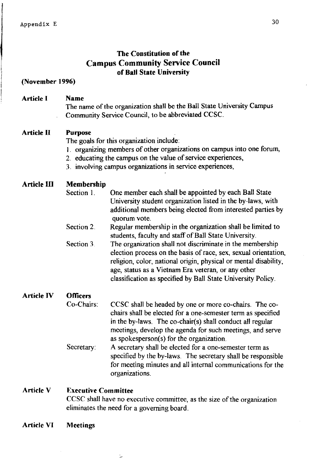## **The Constitution of the Campus Community Service Council of Ball State University**

#### **(Novemher 1996)**

#### **Article I Name**

The name of the organization shall be the Ball State University Campus Community Service Council, to be abbreviated CCSC.

#### **Article II Purpose**

The goals for this organization include:

- 1. organizing members of other organizations on campus into one forum,
- 2. educating the campus on the value of service experiences,
- 3. involving campus organizations in service experiences,

#### **Article III Membership**

- Section 1. One member each shall be appointed by each Ball State University student organization listed in the by-laws, with additional members being elected from interested parties by quorum vote.
- Section 2. Regular membership in the organization shall be limited to students. faculty and staff of Ball State University.
- Section 3. The organization shall not discriminate in the membership election process on the basis of race, sex, sexual orientation, religion, color, national origin, physical or mental disability, age, status as a Vietnam Era veteran, or any other classification as specified by Ball State University Policy.

#### **Article IV Officers**

- Co-Chairs: CCSC shall be headed by one or more co-chairs. The cochairs shaH be elected for a one-semester term as specified in the by-laws. The co-chair( $s$ ) shall conduct all regular meetings, develop the agenda for such meetings, and serve as spokesperson(s) for the organization.
- Secretary: A secretary shall be elected for a one-semester term as specified by the by-laws. The secretary shall be responsible for meeting minutes and all internal communications for the organizations.

#### **Article V Executive Committee**

سنه

CCSC shall have no executive committee, as the size of the organization eliminates the need for a governing board.

**Article VI Meetings**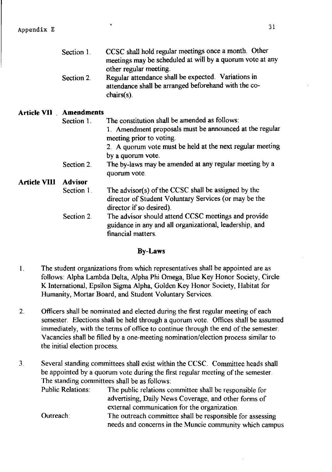Section 2. Regular attendance shall be expected. Variations in attendance shall be arranged beforehand with the cochairs(s).

#### Article **VII Amendments**

Section 1. The constitution shall be amended as follows: 1. Amendment proposals must be announced at the regular meeting prior to voting. 2. A quorum vote must be held at the next regular meeting by a quorum vote. Section 2. The by-laws may be amended at any regular meeting by a quorum vote.

#### Article Vlll Advisor Section 1.

- The advisor(s) of the CCSC shall be assigned by the director of Student Voluntary Services (or may be the director if so desired).
- Section 2. The advisor should attend CCSC meetings and provide guidance in any and all organizational, leadership, and financial matters.

#### By-Laws

- 1. The student organizations from which representatives shall be appointed are as follows: Alpha Lambda Delta, Alpha Phi Omega, Blue Key Honor Society, Circle K International, Epsilon Sigma Alpha, Golden Key Honor Society, Habitat for Humanity, Mortar Board, and Student Voluntary Services.
- 2. Officers shall be nominated and elected during the first regular meeting of each semester. Elections shall be held through a quorum vote. Offices shall be assumed immediately, with the terms of office to continue through the end of the semester. Vacancies shall be filled by a one-meeting nomination/election process similar to the initial election process.
- 3. Several standing committees shall exist within the CCSC. Committee heads shall be appointed by a quorum vote during the first regular meeting of the semester. The standing committees shall be as follows:

| <b>Public Relations:</b> | The public relations committee shall be responsible for   |
|--------------------------|-----------------------------------------------------------|
|                          | advertising, Daily News Coverage, and other forms of      |
|                          | external communication for the organization.              |
| Outreach:                | The outreach committee shall be responsible for assessing |
|                          | needs and concerns in the Muncie community which campus   |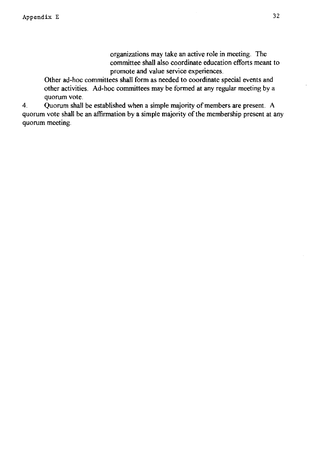organizations may take an active role in meeting. The committee shall also coordinate education efforts meant to promote and value service experiences.

Other ad-hoc committees shall form as needed to coordinate special events and other activities. Ad-hoc committees may be formed at any regular meeting by a quorum vote.

4. Quorum shall be established when a simple majority of members are present. A quorum vote shall be an affirmation by a simple majority of the membership present at any quorum meeting.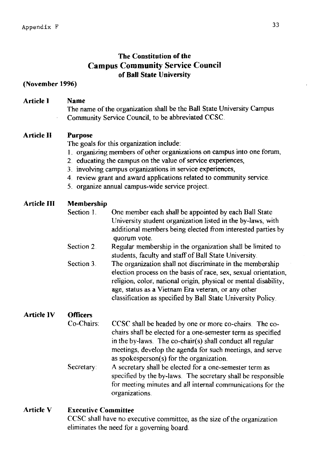## The Constitution of the Campus Community Service Council of Ball State University

#### (Novemher 1996)

#### Article I Name

The name of the organization shall be the Ball State University Campus Community Service Council, to be abbreviated CCSC.

#### Article )) Purpose

The goals for this organization include:

- 1. organizing members of other organizations on campus into one forum,
- 2. educating the campus on the value of service experiences,
- 3. involving campus organizations in service experiences,
- 4. review grant and award applications related to community service.
- 5. organize annual campus-wide service project.

#### Article III Membership

- Section I. One member each shall be appointed by each Ball State University student organization listed in the by-laws, with additional members being elected from interested parties by quorum vote.
- Section 2. Regular membership in the organization shall be limited to students, faculty and staff of Ball State University.
- Section 3. The organization shall not discriminate in the membership election process on the basis of race, sex, sexual orientation, religion, color, national origin, physical or mental disability, age, status as a Vietnam Era veteran, or any other classification as specified by Ball State University Policy.

#### Article IV **Officers**

- Co-Chairs Secretary: CCSC shall be headed by one or more co-chairs. The cochairs shall be elected for a one-semester term as specified in the by-laws. The co-chair(s) shall conduct all regular meetings, develop the agenda for such meetings, and serve as spokesperson( $s$ ) for the organization. A secretary shall be elected for a one-semester term as
- specified by the by-laws. The secretary shall be responsible for meeting minutes and all internal communications for the organizations.

#### Article V Executive Committee

CCSC shall have no executive committee, as the size of the organization eliminates the need for a governing board.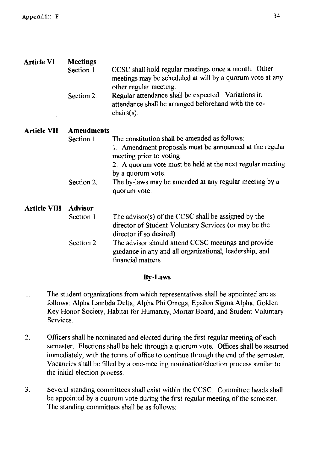| <b>Article VI</b>   | <b>Meetings</b>   |                                                                                                                                             |  |  |
|---------------------|-------------------|---------------------------------------------------------------------------------------------------------------------------------------------|--|--|
|                     | Section 1         | CCSC shall hold regular meetings once a month. Other<br>meetings may be scheduled at will by a quorum vote at any<br>other regular meeting. |  |  |
|                     | Section 2.        | Regular attendance shall be expected. Variations in<br>attendance shall be arranged beforehand with the co-<br>$chairs(s)$ .                |  |  |
| <b>Article VII</b>  | <b>Amendments</b> |                                                                                                                                             |  |  |
|                     | Section 1         | The constitution shall be amended as follows:                                                                                               |  |  |
|                     |                   | 1. Amendment proposals must be announced at the regular<br>meeting prior to voting.                                                         |  |  |
|                     |                   | 2. A quorum vote must be held at the next regular meeting                                                                                   |  |  |
|                     |                   | by a quorum vote.                                                                                                                           |  |  |
|                     | Section 2.        | The by-laws may be amended at any regular meeting by a<br>quorum vote.                                                                      |  |  |
| <b>Article VIII</b> | <b>Advisor</b>    |                                                                                                                                             |  |  |
|                     | Section 1.        | The advisor(s) of the CCSC shall be assigned by the<br>director of Student Voluntary Services (or may be the<br>director if so desired).    |  |  |
|                     | Section 2.        | The advisor should attend CCSC meetings and provide<br>guidance in any and all organizational, leadership, and<br>financial matters.        |  |  |

#### **By-Laws**

- I. The student organizations from which representatives shall be appointed are as follows: Alpha Lambda Delta, Alpha Phi Omega, Epsilon Sigma Alpha, Golden Key Honor Society, Habitat for Humanity, Mortar Board, and Student Voluntary Services.
- 2. Officers shall be nominated and elected during the first regular meeting of each semester. Elections shall be held through a quorum vote. Offices shall be assumed immediately, with the terms of office to continue through the end of the semester. Vacancies shall be filled by a one-meeting nomination/election process similar to the initial election process.
- 3. Several standing committees shall exist within the CCSc. Committee heads shall be appointed by a quorum vote during the first regular meeting of the semester. The standing committees shall be as follows: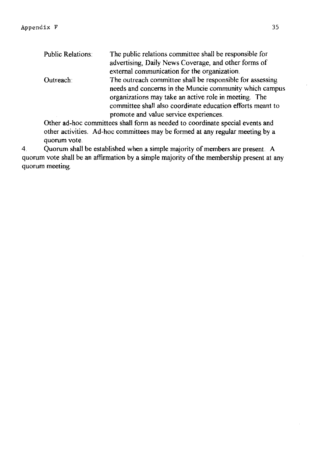| <b>Public Relations:</b> | The public relations committee shall be responsible for    |
|--------------------------|------------------------------------------------------------|
|                          | advertising, Daily News Coverage, and other forms of       |
|                          | external communication for the organization.               |
| Outreach:                | The outreach committee shall be responsible for assessing  |
|                          | needs and concerns in the Muncie community which campus    |
|                          | organizations may take an active role in meeting. The      |
|                          | committee shall also coordinate education efforts meant to |
|                          | promote and value service experiences.                     |
|                          |                                                            |

Other ad-hoc committees shall form as needed to coordinate special events and other activities. Ad-hoc committees may be formed at any regular meeting by a quorum vote.

4. Quorum shall be established when a simple majority of members are present. A quorum vote shall be an affirmation by a simple majority of the membership present at any quorum meeting.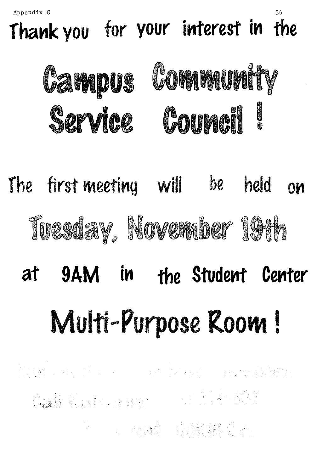Appendix G

# Thank you for your interest in the



# The first-meeting will be held **OM** Tuesday, November 19th

# 9AM in at the Student Center Multi-Purpose Room!

1997年<br>1998年 - 1999年 - 1999年 - 1999年 - 1999年 - 1999年 - 1999年 - 1999年 - 1999年 - 1999年 - 1999年<br>1999年 - 1999年 - 1999年 - 1999年 - 1999年 - 1999年 - 1999年 - 1999年 - 1999年 - 1999年 - 1999年 - 1999年 - 1999年 - 1999年 的复数 化二氯化物 计数据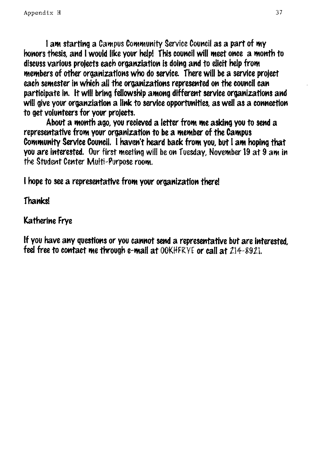I am starting a Campus Community Service Council as a part of my honors thesis, and I would like your help! This council will meet once a month to discuss various projects each organziation is doing and to elicit help from members of other organizations who do service. There will be a service project each semester in which all the organizations represented on the council can participate in. It will bring fellowship among different service organizations and will give your organziation a link to service opportunities, as well as a connection to get volunteers for your projects.

About a month ago, you recieved a letter from me asking you to send a representative from your organization to be a member of the Campus Community Service Council. I haven't heard back from you, but I am hoping that you are interested. Our first meeting will be on Tuesday, November 19 at 9 am in the Student Center Multi-Purpose room.

I hope to see a representative from your organization there!

**Thanks!** 

**Katherine Frve** 

If you have any questions or you cannot send a representative but are interested, feel free to contact me through e-mail at OOKHFRYE or call at 214-8921.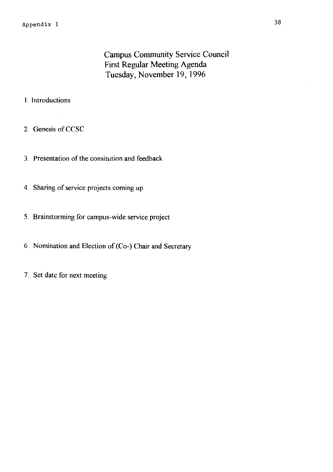## Campus Community Service Council First Regular Meeting Agenda Tuesday, November 19, 1996

#### I. Introductions

2. Genesis of CCSC

 $\mathcal{A}_\mathrm{a}$ 

- 3. Presentation of the consitution and feedback
- 4. Sharing of service projects coming up
- 5. Brainstorming for campus-wide service project
- 6. Nomination and Election of (Co-) Chair and Secretary
- 7. Set date for next meeting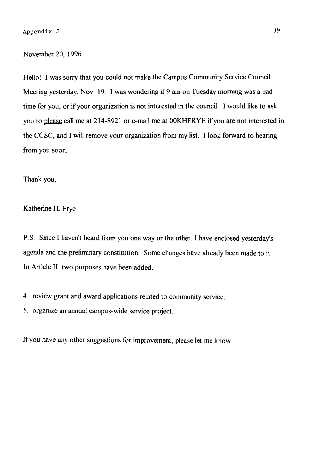#### November 20, 1996

Hello' I was sorry that you could not make the Campus Community Service Council Meeting yesterday, Nov. 19. I was wondering if 9 am on Tuesday morning was a bad time for you, or if your organization is not interested in the council. I would like to ask you to please call me at 214-8921 or e-mail me at 00KHFRYE if you are not interested in the CCSC, and I will remove your organization from my list. I look forward to hearing from you soon.

Thank you,

Katherine H. Frye

P.S. Since I haven't heard from you one way or the other, I have enclosed yesterday's agenda and the preliminary constitution. Some changes have already been made to it In Article II, two purposes have been added;

4. review grant and award applications related to community service;

5. organize an annual campus-wide service project

If you have any other suggestions for improvement, please let me know.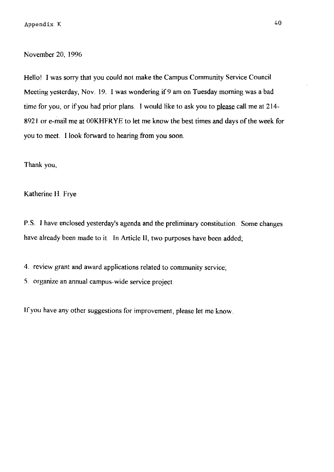November 20, 1996

Hello! I was sorry that you could not make the Campus Community Service Council Meeting yesterday, Nov. 19. I was wondering if 9 am on Tuesday morning was a bad time for you, or if you had prior plans. I would like to ask you to please call me at 214-8921 or e-mail me at OOKHFR YE to let me know the best times and days of the week for you to meet. I look forward to hearing from you soon.

Thank you,

Katherine **11** Frye

P. S. I have enclosed yesterday's agenda and the preliminary constitution. Some changes have already been made to it. In Article II, two purposes have been added;

4. review grant and award applications related to community service;

5. organize an annual campus-wide service project.

If you have any other suggestions for improvement, please let me know.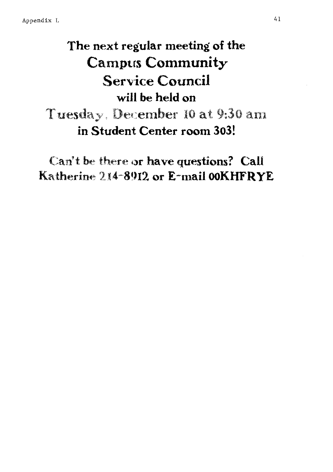# The next regular meeting of the **Campus Community Service Council** will be held on Tuesday. December 10 at 9:30 am in Student Center room 303!

Can't be there or have questions? Call Katherine 214-8912 or E-mail OOKHFRYE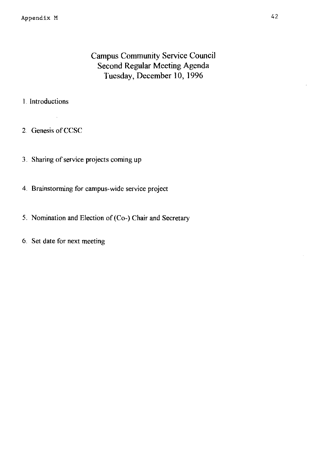## Campus Community Service Council Second Regular Meeting Agenda Tuesday, December 10, 1996

#### 1. Introductions

2. Genesis of CCSC

 $\mathcal{L}$ 

- 3. Sharing of service projects coming up
- 4. Brainstorming for campus-wide service project
- 5. Nomination and Election of (Co-) Chair and Secretary
- 6. Set date for next meeting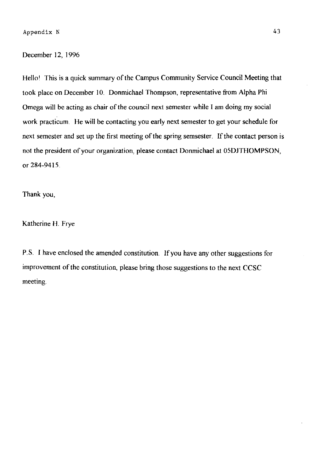#### December 12, 1996

Hello! This is a quick summary of the Campus Community Service Council Meeting that took place on December 10. Donmichael Thompson, representative from Alpha Phi Omega will be acting as chair of the council next semester while I am doing my social work practicum. He will be contacting you early next semester to get your schedule for next semester and set up the first meeting of the spring semsester. If the contact person is not the president of your organization, please contact Donmichael at 05DJTHOMPSON, or 284-9415.

Thank you,

Katherine H. Frye

P.S. I have enclosed the amended constitution. If you have any other suggestions for improvement of the constitution, please bring those suggestions to the next CCSC meeting.